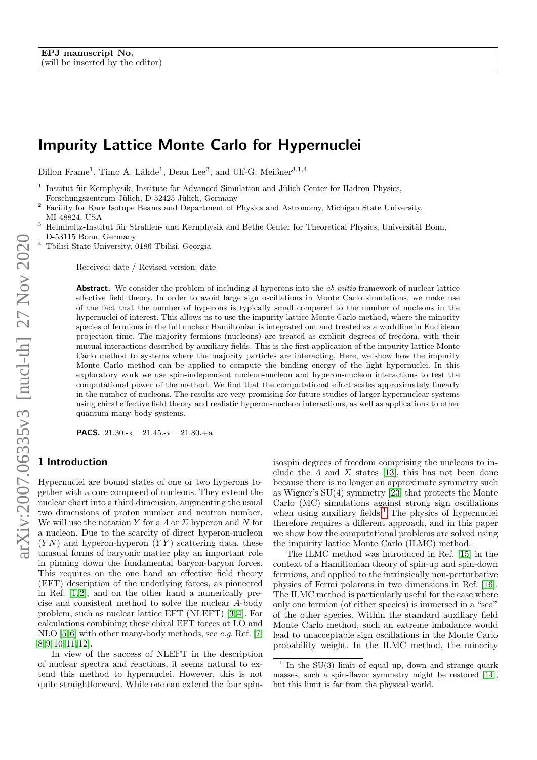# Impurity Lattice Monte Carlo for Hypernuclei

Dillon Frame<sup>1</sup>, Timo A. Lähde<sup>1</sup>, Dean Lee<sup>2</sup>, and Ulf-G. Meißner<sup>3,1,4</sup>

1 Institut für Kernphysik, Institute for Advanced Simulation and Jülich Center for Hadron Physics, Forschungszentrum Jülich, D-52425 Jülich, Germany

- <sup>2</sup> Facility for Rare Isotope Beams and Department of Physics and Astronomy, Michigan State University, MI 48824, USA
- $3$  Helmholtz-Institut für Strahlen- und Kernphysik and Bethe Center for Theoretical Physics, Universität Bonn, D-53115 Bonn, Germany

<sup>4</sup> Tbilisi State University, 0186 Tbilisi, Georgia

Received: date / Revised version: date

**Abstract.** We consider the problem of including  $\Lambda$  hyperons into the ab initio framework of nuclear lattice effective field theory. In order to avoid large sign oscillations in Monte Carlo simulations, we make use of the fact that the number of hyperons is typically small compared to the number of nucleons in the hypernuclei of interest. This allows us to use the impurity lattice Monte Carlo method, where the minority species of fermions in the full nuclear Hamiltonian is integrated out and treated as a worldline in Euclidean projection time. The majority fermions (nucleons) are treated as explicit degrees of freedom, with their mutual interactions described by auxiliary fields. This is the first application of the impurity lattice Monte Carlo method to systems where the majority particles are interacting. Here, we show how the impurity Monte Carlo method can be applied to compute the binding energy of the light hypernuclei. In this exploratory work we use spin-independent nucleon-nucleon and hyperon-nucleon interactions to test the computational power of the method. We find that the computational effort scales approximately linearly in the number of nucleons. The results are very promising for future studies of larger hypernuclear systems using chiral effective field theory and realistic hyperon-nucleon interactions, as well as applications to other quantum many-body systems.

**PACS.** 21.30.- $x - 21.45$ .- $v - 21.80$ .+a

# 1 Introduction

Hypernuclei are bound states of one or two hyperons together with a core composed of nucleons. They extend the nuclear chart into a third dimension, augmenting the usual two dimensions of proton number and neutron number. We will use the notation Y for a  $\Lambda$  or  $\Sigma$  hyperon and N for a nucleon. Due to the scarcity of direct hyperon-nucleon  $(YN)$  and hyperon-hyperon  $(YY)$  scattering data, these unusual forms of baryonic matter play an important role in pinning down the fundamental baryon-baryon forces. This requires on the one hand an effective field theory (EFT) description of the underlying forces, as pioneered in Ref.  $[1, 2]$  $[1, 2]$ , and on the other hand a numerically precise and consistent method to solve the nuclear A-body problem, such as nuclear lattice EFT (NLEFT) [\[3,](#page-8-2) [4\]](#page-8-3). For calculations combining these chiral EFT forces at LO and NLO [\[5,](#page-8-4) [6\]](#page-8-5) with other many-body methods, see e.g. Ref. [\[7,](#page-8-6) [8,](#page-8-7) [9,](#page-8-8) [10,](#page-8-9) [11,](#page-8-10) [12\]](#page-8-11).

In view of the success of NLEFT in the description of nuclear spectra and reactions, it seems natural to extend this method to hypernuclei. However, this is not quite straightforward. While one can extend the four spinisospin degrees of freedom comprising the nucleons to include the  $\Lambda$  and  $\Sigma$  states [\[13\]](#page-8-12), this has not been done because there is no longer an approximate symmetry such as Wigner's SU(4) symmetry [\[23\]](#page-9-0) that protects the Monte Carlo (MC) simulations against strong sign oscillations when using auxiliary fields.<sup>[1](#page-0-0)</sup> The physics of hypernuclei therefore requires a different approach, and in this paper we show how the computational problems are solved using the impurity lattice Monte Carlo (ILMC) method.

The ILMC method was introduced in Ref. [\[15\]](#page-8-13) in the context of a Hamiltonian theory of spin-up and spin-down fermions, and applied to the intrinsically non-perturbative physics of Fermi polarons in two dimensions in Ref. [\[16\]](#page-9-1). The ILMC method is particularly useful for the case where only one fermion (of either species) is immersed in a "sea" of the other species. Within the standard auxiliary field Monte Carlo method, such an extreme imbalance would lead to unacceptable sign oscillations in the Monte Carlo probability weight. In the ILMC method, the minority

<span id="page-0-0"></span><sup>&</sup>lt;sup>1</sup> In the SU(3) limit of equal up, down and strange quark masses, such a spin-flavor symmetry might be restored [\[14\]](#page-8-14), but this limit is far from the physical world.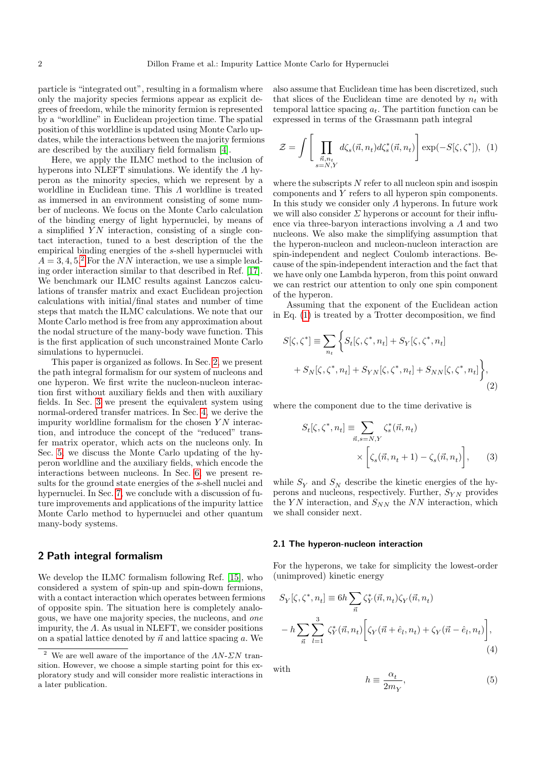particle is "integrated out", resulting in a formalism where only the majority species fermions appear as explicit degrees of freedom, while the minority fermion is represented by a "worldline" in Euclidean projection time. The spatial position of this worldline is updated using Monte Carlo updates, while the interactions between the majority fermions are described by the auxiliary field formalism [\[4\]](#page-8-3).

Here, we apply the ILMC method to the inclusion of hyperons into NLEFT simulations. We identify the Λ hyperon as the minority species, which we represent by a worldline in Euclidean time. This Λ worldline is treated as immersed in an environment consisting of some number of nucleons. We focus on the Monte Carlo calculation of the binding energy of light hypernuclei, by means of a simplified  $YN$  interaction, consisting of a single contact interaction, tuned to a best description of the the empirical binding energies of the s-shell hypernuclei with  $A = 3, 4, 5, 2$  $A = 3, 4, 5, 2$  For the NN interaction, we use a simple leading order interaction similar to that described in Ref. [\[17\]](#page-9-2). We benchmark our ILMC results against Lanczos calculations of transfer matrix and exact Euclidean projection calculations with initial/final states and number of time steps that match the ILMC calculations. We note that our Monte Carlo method is free from any approximation about the nodal structure of the many-body wave function. This is the first application of such unconstrained Monte Carlo simulations to hypernuclei.

This paper is organized as follows. In Sec. [2,](#page-1-1) we present the path integral formalism for our system of nucleons and one hyperon. We first write the nucleon-nucleon interaction first without auxiliary fields and then with auxiliary fields. In Sec. [3](#page-2-0) we present the equivalent system using normal-ordered transfer matrices. In Sec. [4,](#page-3-0) we derive the impurity worldline formalism for the chosen  $YN$  interaction, and introduce the concept of the "reduced" transfer matrix operator, which acts on the nucleons only. In Sec. [5,](#page-4-0) we discuss the Monte Carlo updating of the hyperon worldline and the auxiliary fields, which encode the interactions between nucleons. In Sec. [6,](#page-6-0) we present results for the ground state energies of the s-shell nuclei and hypernuclei. In Sec. [7,](#page-8-15) we conclude with a discussion of future improvements and applications of the impurity lattice Monte Carlo method to hypernuclei and other quantum many-body systems.

## <span id="page-1-1"></span>2 Path integral formalism

We develop the ILMC formalism following Ref. [\[15\]](#page-8-13), who considered a system of spin-up and spin-down fermions, with a contact interaction which operates between fermions of opposite spin. The situation here is completely analogous, we have one majority species, the nucleons, and one impurity, the  $\Lambda$ . As usual in NLEFT, we consider positions on a spatial lattice denoted by  $\vec{n}$  and lattice spacing a. We

also assume that Euclidean time has been discretized, such that slices of the Euclidean time are denoted by  $n_t$  with temporal lattice spacing  $a_t$ . The partition function can be expressed in terms of the Grassmann path integral

<span id="page-1-2"></span>
$$
\mathcal{Z} = \int \left[ \prod_{\substack{\vec{n}, n_t \\ s = N, Y}} d\zeta_s(\vec{n}, n_t) d\zeta_s^*(\vec{n}, n_t) \right] \exp(-S[\zeta, \zeta^*]), \tag{1}
$$

where the subscripts  $N$  refer to all nucleon spin and isospin components and Y refers to all hyperon spin components. In this study we consider only  $\Lambda$  hyperons. In future work we will also consider  $\Sigma$  hyperons or account for their influence via three-baryon interactions involving a  $\Lambda$  and two nucleons. We also make the simplifying assumption that the hyperon-nucleon and nucleon-nucleon interaction are spin-independent and neglect Coulomb interactions. Because of the spin-independent interaction and the fact that we have only one Lambda hyperon, from this point onward we can restrict our attention to only one spin component of the hyperon.

Assuming that the exponent of the Euclidean action in Eq. [\(1\)](#page-1-2) is treated by a Trotter decomposition, we find

$$
S[\zeta, \zeta^*] \equiv \sum_{n_t} \left\{ S_t[\zeta, \zeta^*, n_t] + S_Y[\zeta, \zeta^*, n_t] + S_N[\zeta, \zeta^*, n_t] + S_N[\zeta, \zeta^*, n_t] + S_{NN}[\zeta, \zeta^*, n_t] \right\},\tag{2}
$$

where the component due to the time derivative is

$$
S_t[\zeta, \zeta^*, n_t] \equiv \sum_{\vec{n}, s = N, Y} \zeta_s^*(\vec{n}, n_t)
$$

$$
\times \left[ \zeta_s(\vec{n}, n_t + 1) - \zeta_s(\vec{n}, n_t) \right], \qquad (3)
$$

while  $S_Y$  and  $S_N$  describe the kinetic energies of the hyperons and nucleons, respectively. Further,  $S_{YN}$  provides the  $YN$  interaction, and  $S_{NN}$  the  $NN$  interaction, which we shall consider next.

#### 2.1 The hyperon-nucleon interaction

For the hyperons, we take for simplicity the lowest-order (unimproved) kinetic energy

$$
S_Y[\zeta, \zeta^*, n_t] \equiv 6h \sum_{\vec{n}} \zeta_Y^*(\vec{n}, n_t) \zeta_Y(\vec{n}, n_t)
$$

$$
-h \sum_{\vec{n}} \sum_{l=1}^3 \zeta_Y^*(\vec{n}, n_t) \left[ \zeta_Y(\vec{n} + \hat{e}_l, n_t) + \zeta_Y(\vec{n} - \hat{e}_l, n_t) \right],
$$

$$
(4)
$$

with

$$
h \equiv \frac{\alpha_t}{2m_Y},\tag{5}
$$

<span id="page-1-0"></span><sup>&</sup>lt;sup>2</sup> We are well aware of the importance of the  $AN$ - $\Sigma N$  transition. However, we choose a simple starting point for this exploratory study and will consider more realistic interactions in a later publication.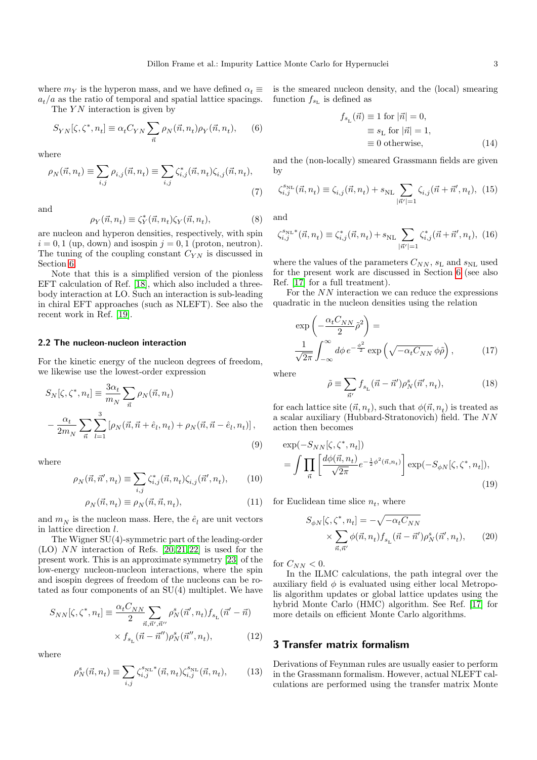where  $m_Y$  is the hyperon mass, and we have defined  $\alpha_t \equiv$  $a_t/a$  as the ratio of temporal and spatial lattice spacings.

The  $YN$  interaction is given by

$$
S_{YN}[\zeta, \zeta^*, n_t] \equiv \alpha_t C_{YN} \sum_{\vec{n}} \rho_N(\vec{n}, n_t) \rho_Y(\vec{n}, n_t), \qquad (6)
$$

where

$$
\rho_N(\vec{n}, n_t) \equiv \sum_{i,j} \rho_{i,j}(\vec{n}, n_t) \equiv \sum_{i,j} \zeta_{i,j}^*(\vec{n}, n_t) \zeta_{i,j}(\vec{n}, n_t), \tag{7}
$$

and

$$
\rho_Y(\vec{n},n_t) \equiv \zeta_Y^*(\vec{n},n_t) \zeta_Y(\vec{n},n_t), \eqno(8)
$$

are nucleon and hyperon densities, respectively, with spin  $i = 0, 1$  (up, down) and isospin  $j = 0, 1$  (proton, neutron). The tuning of the coupling constant  $C_{YN}$  is discussed in Section [6.](#page-6-0)

Note that this is a simplified version of the pionless EFT calculation of Ref. [\[18\]](#page-9-3), which also included a threebody interaction at LO. Such an interaction is sub-leading in chiral EFT approaches (such as NLEFT). See also the recent work in Ref. [\[19\]](#page-9-4).

#### 2.2 The nucleon-nucleon interaction

For the kinetic energy of the nucleon degrees of freedom, we likewise use the lowest-order expression

$$
S_N[\zeta, \zeta^*, n_t] \equiv \frac{3\alpha_t}{m_N} \sum_{\vec{n}} \rho_N(\vec{n}, n_t)
$$

$$
- \frac{\alpha_t}{2m_N} \sum_{\vec{n}} \sum_{l=1}^3 \left[ \rho_N(\vec{n}, \vec{n} + \hat{e}_l, n_t) + \rho_N(\vec{n}, \vec{n} - \hat{e}_l, n_t) \right],
$$

$$
(9)
$$

where

$$
\rho_N(\vec{n}, \vec{n}', n_t) \equiv \sum_{i,j} \zeta_{i,j}^*(\vec{n}, n_t) \zeta_{i,j}(\vec{n}', n_t), \qquad (10)
$$

$$
\rho_N(\vec{n}, n_t) \equiv \rho_N(\vec{n}, \vec{n}, n_t), \tag{11}
$$

and  $m_N$  is the nucleon mass. Here, the  $\hat{e}_l$  are unit vectors in lattice direction l.

The Wigner SU(4)-symmetric part of the leading-order (LO) NN interaction of Refs. [\[20,](#page-9-5) [21,](#page-9-6) [22\]](#page-9-7) is used for the present work. This is an approximate symmetry [\[23\]](#page-9-0) of the low-energy nucleon-nucleon interactions, where the spin and isospin degrees of freedom of the nucleons can be rotated as four components of an SU(4) multiplet. We have

$$
S_{NN}[\zeta, \zeta^*, n_t] \equiv \frac{\alpha_t C_{NN}}{2} \sum_{\vec{n}, \vec{n}', \vec{n}''} \rho_N^s(\vec{n}', n_t) f_{s_L}(\vec{n}' - \vec{n})
$$

$$
\times f_{s_L}(\vec{n} - \vec{n}'') \rho_N^s(\vec{n}'', n_t), \tag{12}
$$

where

$$
\rho_N^s(\vec{n}, n_t) \equiv \sum_{i,j} \zeta_{i,j}^{s_{\rm NL}*}(\vec{n}, n_t) \zeta_{i,j}^{s_{\rm NL}}(\vec{n}, n_t), \qquad (13)
$$

is the smeared nucleon density, and the (local) smearing function  $f_{s_L}$  is defined as

$$
f_{s_{\text{L}}}(\vec{n}) \equiv 1 \text{ for } |\vec{n}| = 0,
$$
  
\n
$$
\equiv s_{\text{L}} \text{ for } |\vec{n}| = 1,
$$
  
\n
$$
\equiv 0 \text{ otherwise,}
$$
 (14)

and the (non-locally) smeared Grassmann fields are given by

$$
\zeta_{i,j}^{s_{\rm NL}}(\vec{n}, n_t) \equiv \zeta_{i,j}(\vec{n}, n_t) + s_{\rm NL} \sum_{|\vec{n}'|=1} \zeta_{i,j}(\vec{n} + \vec{n}', n_t), (15)
$$

and

$$
\zeta_{i,j}^{s_{\rm NL}*}(\vec{n}, n_t) \equiv \zeta_{i,j}^*(\vec{n}, n_t) + s_{\rm NL} \sum_{|\vec{n}'|=1} \zeta_{i,j}^*(\vec{n} + \vec{n}', n_t), (16)
$$

where the values of the parameters  $C_{NN}$ ,  $s_{\text{L}}$  and  $s_{\text{NL}}$  used for the present work are discussed in Section [6](#page-6-0) (see also Ref. [\[17\]](#page-9-2) for a full treatment).

For the NN interaction we can reduce the expressions quadratic in the nucleon densities using the relation

$$
\exp\left(-\frac{\alpha_t C_{NN}}{2}\tilde{\rho}^2\right) = \frac{1}{\sqrt{2\pi}} \int_{-\infty}^{\infty} d\phi \, e^{-\frac{\phi^2}{2}} \exp\left(\sqrt{-\alpha_t C_{NN}} \phi \tilde{\rho}\right),\tag{17}
$$

where

$$
\tilde{\rho} \equiv \sum_{\vec{n}'} f_{s_{\rm L}}(\vec{n} - \vec{n}') \rho_N^s(\vec{n}', n_t),\tag{18}
$$

for each lattice site  $(\vec{n}, n_t)$ , such that  $\phi(\vec{n}, n_t)$  is treated as a scalar auxiliary (Hubbard-Stratonovich) field. The NN action then becomes

$$
\exp(-S_{NN}[\zeta, \zeta^*, n_t])
$$
  
= 
$$
\int \prod_{\vec{n}} \left[ \frac{d\phi(\vec{n}, n_t)}{\sqrt{2\pi}} e^{-\frac{1}{2}\phi^2(\vec{n}, n_t)} \right] \exp(-S_{\phi N}[\zeta, \zeta^*, n_t]),
$$
 (19)

for Euclidean time slice  $n_t$ , where

$$
S_{\phi N}[\zeta, \zeta^*, n_t] = -\sqrt{-\alpha_t C_{NN}}\n\times \sum_{\vec{n}, \vec{n}'} \phi(\vec{n}, n_t) f_{s_L}(\vec{n} - \vec{n}') \rho_N^s(\vec{n}', n_t),
$$
\n(20)

for  $C_{NN} < 0$ .

In the ILMC calculations, the path integral over the auxiliary field  $\phi$  is evaluated using either local Metropolis algorithm updates or global lattice updates using the hybrid Monte Carlo (HMC) algorithm. See Ref. [\[17\]](#page-9-2) for more details on efficient Monte Carlo algorithms.

### <span id="page-2-0"></span>3 Transfer matrix formalism

Derivations of Feynman rules are usually easier to perform in the Grassmann formalism. However, actual NLEFT calculations are performed using the transfer matrix Monte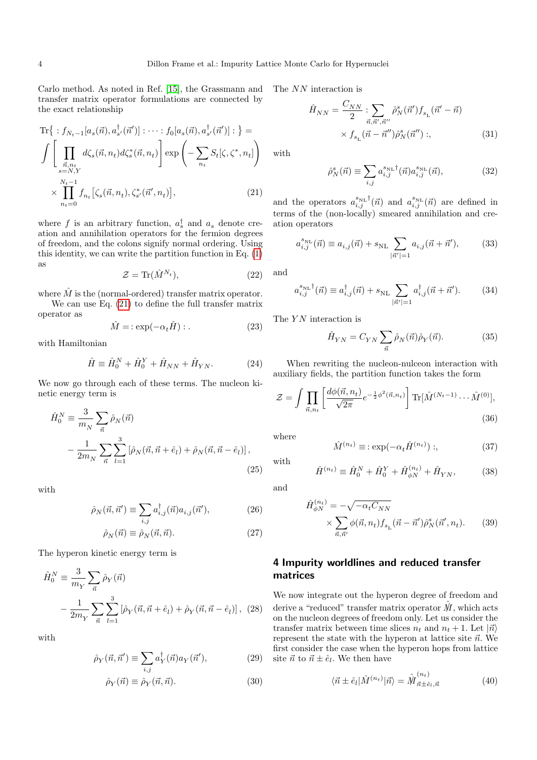Carlo method. As noted in Ref. [\[15\]](#page-8-13), the Grassmann and transfer matrix operator formulations are connected by the exact relationship

$$
\text{Tr}\left\{ : f_{N_t-1}[a_s(\vec{n}), a_{s'}^\dagger(\vec{n}')] : \cdots : f_0[a_s(\vec{n}), a_{s'}^\dagger(\vec{n}')] : \right\} = \int \left[ \prod_{\substack{\vec{n}, n_t \\ s = N, Y}} d\zeta_s(\vec{n}, n_t) d\zeta_s^*(\vec{n}, n_t) \right] \exp\left( - \sum_{n_t} S_t[\zeta, \zeta^*, n_t] \right) \times \prod_{n_t=0}^{N_t-1} f_{n_t}[\zeta_s(\vec{n}, n_t), \zeta_{s'}^*(\vec{n}', n_t)], \tag{21}
$$

where f is an arbitrary function,  $a_s^{\dagger}$  and  $a_s$  denote creation and annihilation operators for the fermion degrees of freedom, and the colons signify normal ordering. Using this identity, we can write the partition function in Eq. [\(1\)](#page-1-2) as

$$
\mathcal{Z} = \text{Tr}(\hat{M}^{N_t}),\tag{22}
$$

where  $\hat{M}$  is the (normal-ordered) transfer matrix operator.

We can use Eq. [\(21\)](#page-3-1) to define the full transfer matrix operator as

$$
\hat{M} = : \exp(-\alpha_t \hat{H}) : . \tag{23}
$$

with Hamiltonian

$$
\hat{H} \equiv \hat{H}_0^N + \hat{H}_0^Y + \hat{H}_{NN} + \hat{H}_{YN}.
$$
 (24)

We now go through each of these terms. The nucleon kinetic energy term is

$$
\hat{H}_0^N \equiv \frac{3}{m_N} \sum_{\vec{n}} \hat{\rho}_N(\vec{n}) \n- \frac{1}{2m_N} \sum_{\vec{n}} \sum_{l=1}^3 [\hat{\rho}_N(\vec{n}, \vec{n} + \hat{e}_l) + \hat{\rho}_N(\vec{n}, \vec{n} - \hat{e}_l)],
$$
\n(25)

with

$$
\hat{\rho}_N(\vec{n}, \vec{n}') \equiv \sum_{i,j} a_{i,j}^\dagger(\vec{n}) a_{i,j}(\vec{n}'),\tag{26}
$$

$$
\hat{\rho}_N(\vec{n}) \equiv \hat{\rho}_N(\vec{n}, \vec{n}). \tag{27}
$$

The hyperon kinetic energy term is

$$
\hat{H}_0^N \equiv \frac{3}{m_Y} \sum_{\vec{n}} \hat{\rho}_Y(\vec{n}) \n- \frac{1}{2m_Y} \sum_{\vec{n}} \sum_{l=1}^3 \left[ \hat{\rho}_Y(\vec{n}, \vec{n} + \hat{e}_l) + \hat{\rho}_Y(\vec{n}, \vec{n} - \hat{e}_l) \right], (28)
$$

with

$$
\hat{\rho}_Y(\vec{n}, \vec{n}') \equiv \sum_{i,j} a_Y^{\dagger}(\vec{n}) a_Y(\vec{n}'), \tag{29}
$$

$$
\hat{\rho}_Y(\vec{n}) \equiv \hat{\rho}_Y(\vec{n}, \vec{n}). \tag{30}
$$

The NN interaction is

$$
\hat{H}_{NN} = \frac{C_{NN}}{2} : \sum_{\vec{n}, \vec{n}', \vec{n}''} \hat{\rho}_N^s(\vec{n}') f_{s_L}(\vec{n}' - \vec{n}) \times f_{s_L}(\vec{n} - \vec{n}'') \hat{\rho}_N^s(\vec{n}'') ;
$$
\n(31)

with

$$
\hat{\rho}_N^s(\vec{n}) \equiv \sum_{i,j} a_{i,j}^{s_{\rm NL}\dagger}(\vec{n}) a_{i,j}^{s_{\rm NL}}(\vec{n}), \tag{32}
$$

<span id="page-3-1"></span>and the operators  $a_{i,j}^{s_{\text{NL}}}(\vec{n})$  and  $a_{i,j}^{s_{\text{NL}}}(\vec{n})$  are defined in terms of the (non-locally) smeared annihilation and creation operators

$$
a_{i,j}^{s_{\rm NL}}(\vec{n}) \equiv a_{i,j}(\vec{n}) + s_{\rm NL} \sum_{|\vec{n}'|=1} a_{i,j}(\vec{n} + \vec{n}'), \tag{33}
$$

and

$$
a_{i,j}^{s_{\rm NL}\dagger}(\vec{n}) \equiv a_{i,j}^{\dagger}(\vec{n}) + s_{\rm NL} \sum_{|\vec{n}'|=1} a_{i,j}^{\dagger}(\vec{n} + \vec{n}'). \tag{34}
$$

The  $YN$  interaction is

$$
\hat{H}_{YN} = C_{YN} \sum_{\vec{n}} \hat{\rho}_N(\vec{n}) \hat{\rho}_Y(\vec{n}). \tag{35}
$$

When rewriting the nucleon-nulceon interaction with auxiliary fields, the partition function takes the form

$$
\mathcal{Z} = \int \prod_{\vec{n}, n_t} \left[ \frac{d\phi(\vec{n}, n_t)}{\sqrt{2\pi}} e^{-\frac{1}{2}\phi^2(\vec{n}, n_t)} \right] \text{Tr}[\hat{M}^{(N_t - 1)} \cdots \hat{M}^{(0)}],\tag{36}
$$

 $\hat{M}^{(n_t)} \equiv : \exp(-\alpha_t \hat{H}^{(n_t)}):$ 

where

with

$$
\hat{H}^{(n_t)} \equiv \hat{H}_0^N + \hat{H}_0^Y + \hat{H}_{\phi N}^{(n_t)} + \hat{H}_{YN},
$$
 (38)

 $(37)$ 

and

$$
\hat{H}_{\phi N}^{(n_t)} = -\sqrt{-\alpha_t C_{NN}}\n\times \sum_{\vec{n},\vec{n}'} \phi(\vec{n}, n_t) f_{s_L}(\vec{n} - \vec{n}') \hat{\rho}_N^s(\vec{n}', n_t).
$$
\n(39)

# <span id="page-3-0"></span>4 Impurity worldlines and reduced transfer matrices

We now integrate out the hyperon degree of freedom and derive a "reduced" transfer matrix operator  $\dot{M}$ , which acts on the nucleon degrees of freedom only. Let us consider the transfer matrix between time slices  $n_t$  and  $n_t + 1$ . Let  $|\vec{n}\rangle$ represent the state with the hyperon at lattice site  $\vec{n}$ . We first consider the case when the hyperon hops from lattice site  $\vec{n}$  to  $\vec{n} \pm \hat{e}_l$ . We then have

$$
\langle \vec{n} \pm \hat{e}_l | \hat{M}^{(n_t)} | \vec{n} \rangle = \hat{M}^{(n_t)}_{\vec{n} \pm \hat{e}_l, \vec{n}} \tag{40}
$$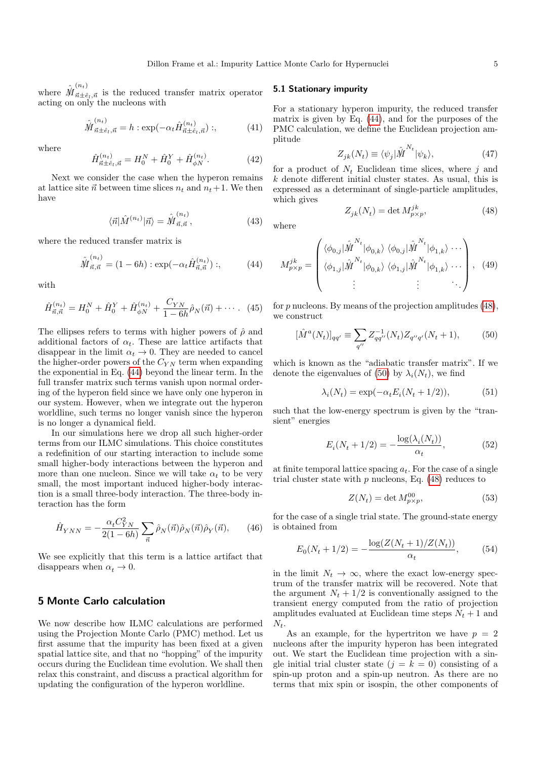where

where  $\mathcal{\hat{M}}_{\vec{n}\pm\hat{e}_l,\vec{n}}^{(n_t)}$  is the reduced transfer matrix operator acting on only the nucleons with

<span id="page-4-4"></span>
$$
\hat{M}_{\vec{n}\pm\hat{e}_l,\vec{n}}^{(n_t)} = h : \exp(-\alpha_t \hat{H}_{\vec{n}\pm\hat{e}_l,\vec{n}}^{(n_t)});
$$
\n(41)

where

$$
\hat{H}^{(n_t)}_{\vec{n}\pm\hat{e}_l,\vec{n}} = H_0^N + \hat{H}_0^Y + \hat{H}_{\phi N}^{(n_t)}.
$$
\n(42)

Next we consider the case when the hyperon remains at lattice site  $\vec{n}$  between time slices  $n_t$  and  $n_t + 1$ . We then have

$$
\langle \vec{n} | \hat{M}^{(n_t)} | \vec{n} \rangle = \hat{M}^{(n_t)}_{\vec{n},\vec{n}}, \tag{43}
$$

where the reduced transfer matrix is

<span id="page-4-1"></span>
$$
\hat{M}_{\vec{n},\vec{n}}^{(n_t)} = (1 - 6h) : \exp(-\alpha_t \hat{H}_{\vec{n},\vec{n}}^{(n_t)}):,
$$
\n(44)

with

$$
\hat{H}^{(n_t)}_{\vec{n},\vec{n}} = H_0^N + \hat{H}_0^Y + \hat{H}^{(n_t)}_{\phi N} + \frac{C_{YN}}{1 - 6h} \hat{\rho}_N(\vec{n}) + \cdots
$$
 (45)

The ellipses refers to terms with higher powers of  $\hat{\rho}$  and additional factors of  $\alpha_t$ . These are lattice artifacts that disappear in the limit  $\alpha_t \to 0$ . They are needed to cancel the higher-order powers of the  $C_{YN}$  term when expanding the exponential in Eq. [\(44\)](#page-4-1) beyond the linear term. In the full transfer matrix such terms vanish upon normal ordering of the hyperon field since we have only one hyperon in our system. However, when we integrate out the hyperon worldline, such terms no longer vanish since the hyperon is no longer a dynamical field.

In our simulations here we drop all such higher-order terms from our ILMC simulations. This choice constitutes a redefinition of our starting interaction to include some small higher-body interactions between the hyperon and more than one nucleon. Since we will take  $\alpha_t$  to be very small, the most important induced higher-body interaction is a small three-body interaction. The three-body interaction has the form

<span id="page-4-5"></span>
$$
\hat{H}_{YNN} = -\frac{\alpha_t C_{YN}^2}{2(1 - 6h)} \sum_{\vec{n}} \hat{\rho}_N(\vec{n}) \hat{\rho}_N(\vec{n}) \hat{\rho}_Y(\vec{n}), \qquad (46)
$$

We see explicitly that this term is a lattice artifact that disappears when  $\alpha_t \to 0$ .

# <span id="page-4-0"></span>5 Monte Carlo calculation

We now describe how ILMC calculations are performed using the Projection Monte Carlo (PMC) method. Let us first assume that the impurity has been fixed at a given spatial lattice site, and that no "hopping" of the impurity occurs during the Euclidean time evolution. We shall then relax this constraint, and discuss a practical algorithm for updating the configuration of the hyperon worldline.

#### 5.1 Stationary impurity

For a stationary hyperon impurity, the reduced transfer matrix is given by Eq. [\(44\)](#page-4-1), and for the purposes of the PMC calculation, we define the Euclidean projection amplitude

$$
Z_{jk}(N_t) \equiv \langle \psi_j | \hat{\mathcal{W}}^{N_t} | \psi_k \rangle, \tag{47}
$$

for a product of  $N_t$  Euclidean time slices, where j and k denote different initial cluster states. As usual, this is expressed as a determinant of single-particle amplitudes, which gives

<span id="page-4-2"></span>
$$
Z_{jk}(N_t) = \det M_{p \times p}^{jk},\tag{48}
$$

$$
M_{p\times p}^{jk} = \begin{pmatrix} \langle \phi_{0,j} | \hat{\mathcal{W}}^{N_t} | \phi_{0,k} \rangle & \langle \phi_{0,j} | \hat{\mathcal{W}}^{N_t} | \phi_{1,k} \rangle & \cdots \\ \langle \phi_{1,j} | \hat{\mathcal{W}}^{N_t} | \phi_{0,k} \rangle & \langle \phi_{1,j} | \hat{\mathcal{W}}^{N_t} | \phi_{1,k} \rangle & \cdots \\ \vdots & \vdots & \ddots \end{pmatrix}, \quad (49)
$$

for  $p$  nucleons. By means of the projection amplitudes  $(48)$ , we construct

<span id="page-4-3"></span>
$$
[\hat{M}^a(N_t)]_{qq'} \equiv \sum_{q''} Z^{-1}_{qq''}(N_t) Z_{q''q'}(N_t + 1), \tag{50}
$$

which is known as the "adiabatic transfer matrix". If we denote the eigenvalues of [\(50\)](#page-4-3) by  $\lambda_i(N_t)$ , we find

$$
\lambda_i(N_t) = \exp(-\alpha_t E_i(N_t + 1/2)),\tag{51}
$$

such that the low-energy spectrum is given by the "transient" energies

$$
E_i(N_t + 1/2) = -\frac{\log(\lambda_i(N_t))}{\alpha_t},
$$
\n(52)

at finite temporal lattice spacing  $a_t$ . For the case of a single trial cluster state with  $p$  nucleons, Eq. [\(48\)](#page-4-2) reduces to

$$
Z(N_t) = \det M_{p \times p}^{00},\tag{53}
$$

for the case of a single trial state. The ground-state energy is obtained from

$$
E_0(N_t + 1/2) = -\frac{\log(Z(N_t + 1)/Z(N_t))}{\alpha_t},\tag{54}
$$

in the limit  $N_t \to \infty$ , where the exact low-energy spectrum of the transfer matrix will be recovered. Note that the argument  $N_t + 1/2$  is conventionally assigned to the transient energy computed from the ratio of projection amplitudes evaluated at Euclidean time steps  $N_t + 1$  and  $N_t$ .

As an example, for the hypertriton we have  $p = 2$ nucleons after the impurity hyperon has been integrated out. We start the Euclidean time projection with a single initial trial cluster state  $(j = k = 0)$  consisting of a spin-up proton and a spin-up neutron. As there are no terms that mix spin or isospin, the other components of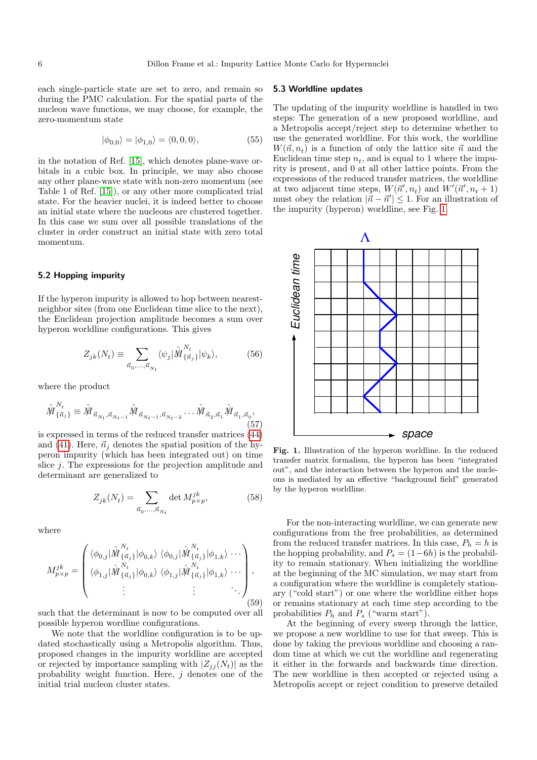each single-particle state are set to zero, and remain so during the PMC calculation. For the spatial parts of the nucleon wave functions, we may choose, for example, the zero-momentum state

$$
|\phi_{0,0}\rangle = |\phi_{1,0}\rangle = \langle 0,0,0\rangle, \tag{55}
$$

in the notation of Ref. [\[15\]](#page-8-13), which denotes plane-wave orbitals in a cubic box. In principle, we may also choose any other plane-wave state with non-zero momentum (see Table 1 of Ref. [\[15\]](#page-8-13)), or any other more complicated trial state. For the heavier nuclei, it is indeed better to choose an initial state where the nucleons are clustered together. In this case we sum over all possible translations of the cluster in order construct an initial state with zero total momentum.

#### 5.2 Hopping impurity

If the hyperon impurity is allowed to hop between nearestneighbor sites (from one Euclidean time slice to the next), the Euclidean projection amplitude becomes a sum over hyperon worldline configurations. This gives

$$
Z_{jk}(N_t) \equiv \sum_{\vec{n}_0,\dots,\vec{n}_{N_t}} \langle \psi_j | \hat{\mathcal{M}}_{\{\vec{n}_j\}}^{N_t} | \psi_k \rangle, \tag{56}
$$

where the product

$$
\hat{\mathcal{M}}_{\{\vec{n}_j\}}^{N_t} \equiv \hat{\mathcal{M}}_{\vec{n}_{N_t},\vec{n}_{N_t-1}} \hat{\mathcal{M}}_{\vec{n}_{N_t-1},\vec{n}_{N_t-2}} \dots \hat{\mathcal{M}}_{\vec{n}_2,\vec{n}_1} \hat{\mathcal{M}}_{\vec{n}_1,\vec{n}_0},\tag{57}
$$

is expressed in terms of the reduced transfer matrices [\(44\)](#page-4-1) and [\(41\)](#page-4-4). Here,  $\vec{n}_j$  denotes the spatial position of the hyperon impurity (which has been integrated out) on time slice j. The expressions for the projection amplitude and determinant are generalized to

$$
Z_{jk}(N_t) = \sum_{\vec{n}_0, ..., \vec{n}_{N_t}} \det M_{p \times p}^{jk},
$$
 (58)

where

$$
M_{p\times p}^{jk} = \begin{pmatrix} \langle \phi_{0,j} | \hat{M}_{\{\vec{n}_j\}}^{N_t} | \phi_{0,k} \rangle \langle \phi_{0,j} | \hat{M}_{\{\vec{n}_j\}}^{N_t} | \phi_{1,k} \rangle \cdots \\ \langle \phi_{1,j} | \hat{M}_{\{\vec{n}_j\}}^{N_t} | \phi_{0,k} \rangle \langle \phi_{1,j} | \hat{M}_{\{\vec{n}_j\}}^{N_t} | \phi_{1,k} \rangle \cdots \\ \vdots \end{pmatrix},
$$
\n(59)

such that the determinant is now to be computed over all possible hyperon wordline configurations.

We note that the worldline configuration is to be updated stochastically using a Metropolis algorithm. Thus, proposed changes in the impurity worldline are accepted or rejected by importance sampling with  $|Z_{jj}(N_t)|$  as the probability weight function. Here,  $j$  denotes one of the initial trial nucleon cluster states.

#### 5.3 Worldline updates

The updating of the impurity worldline is handled in two steps: The generation of a new proposed worldline, and a Metropolis accept/reject step to determine whether to use the generated worldline. For this work, the worldline  $W(\vec{n}, n_t)$  is a function of only the lattice site  $\vec{n}$  and the Euclidean time step  $n_t$ , and is equal to 1 where the impurity is present, and 0 at all other lattice points. From the expressions of the reduced transfer matrices, the worldline at two adjacent time steps,  $W(\vec{n}', n_t)$  and  $W'(\vec{n}', n_t + 1)$ must obey the relation  $|\vec{n} - \vec{n}'| \leq 1$ . For an illustration of the impurity (hyperon) worldline, see Fig. [1.](#page-5-0)



<span id="page-5-0"></span>Fig. 1. Illustration of the hyperon worldline. In the reduced transfer matrix formalism, the hyperon has been "integrated out", and the interaction between the hyperon and the nucleons is mediated by an effective "background field" generated by the hyperon worldline.

For the non-interacting worldline, we can generate new configurations from the free probabilities, as determined from the reduced transfer matrices. In this case,  $P_h = h$  is the hopping probability, and  $P_s = (1-6h)$  is the probability to remain stationary. When initializing the worldline at the beginning of the MC simulation, we may start from a configuration where the worldline is completely stationary ("cold start") or one where the worldline either hops or remains stationary at each time step according to the probabilities  $P_h$  and  $P_s$  ("warm start").

At the beginning of every sweep through the lattice, we propose a new worldline to use for that sweep. This is done by taking the previous worldline and choosing a random time at which we cut the worldline and regenerating it either in the forwards and backwards time direction. The new worldline is then accepted or rejected using a Metropolis accept or reject condition to preserve detailed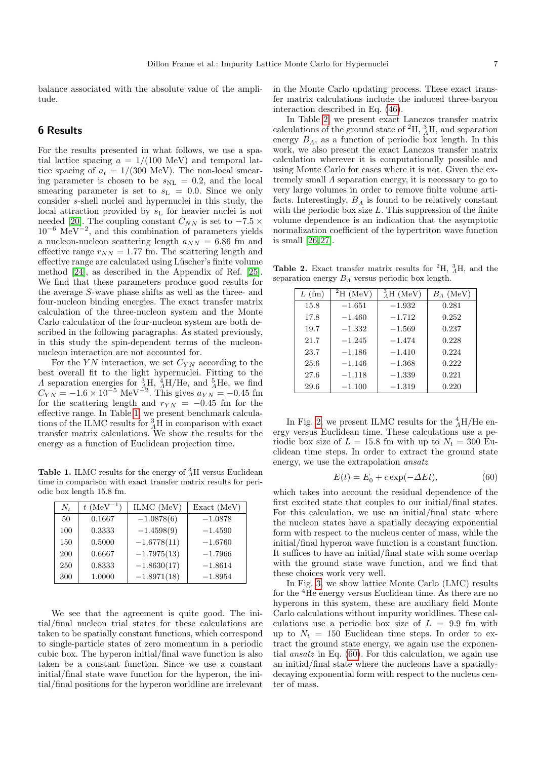balance associated with the absolute value of the amplitude.

#### <span id="page-6-0"></span>6 Results

For the results presented in what follows, we use a spatial lattice spacing  $a = 1/(100 \text{ MeV})$  and temporal lattice spacing of  $a_t = 1/(300 \text{ MeV})$ . The non-local smearing parameter is chosen to be  $s_{NL} = 0.2$ , and the local smearing parameter is set to  $s_L = 0.0$ . Since we only consider s-shell nuclei and hypernuclei in this study, the local attraction provided by  $s_L$  for heavier nuclei is not needed [\[20\]](#page-9-5). The coupling constant  $C_{NN}$  is set to  $-7.5 \times$  $10^{-6}$  MeV<sup>-2</sup>, and this combination of parameters yields a nucleon-nucleon scattering length  $a_{NN} = 6.86$  fm and effective range  $r_{NN} = 1.77$  fm. The scattering length and effective range are calculated using Lüscher's finite volume method [\[24\]](#page-9-8), as described in the Appendix of Ref. [\[25\]](#page-9-9). We find that these parameters produce good results for the average S-wave phase shifts as well as the three- and four-nucleon binding energies. The exact transfer matrix calculation of the three-nucleon system and the Monte Carlo calculation of the four-nucleon system are both described in the following paragraphs. As stated previously, in this study the spin-dependent terms of the nucleonnucleon interaction are not accounted for.

For the  $YN$  interaction, we set  $C_{YN}$  according to the best overall fit to the light hypernuclei. Fitting to the A separation energies for  ${}_{A_{\rm B}}^{3\rm H}, {}_{A}^{4\rm H}/{\rm He}$ , and  ${}_{A}^{5\rm He}$ , we find  $C_{YN} = -1.6 \times 10^{-5} \text{ MeV}^{-2}$ . This gives  $a_{YN} = -0.45 \text{ fm}$ for the scattering length and  $r_{YN} = -0.45$  fm for the effective range. In Table [1,](#page-6-1) we present benchmark calculations of the ILMC results for  ${}^{3}_{A}H$  in comparison with exact transfer matrix calculations. We show the results for the energy as a function of Euclidean projection time.

<span id="page-6-1"></span>**Table 1.** ILMC results for the energy of  $^{3}_{A}H$  versus Euclidean time in comparison with exact transfer matrix results for periodic box length 15.8 fm.

| $N_{t}$ | t (MeV <sup>-1</sup> ) | ILMC (MeV)    | Exact (MeV) |
|---------|------------------------|---------------|-------------|
| 50      | 0.1667                 | $-1.0878(6)$  | $-1.0878$   |
| 100     | 0.3333                 | $-1.4598(9)$  | $-1.4590$   |
| 150     | 0.5000                 | $-1.6778(11)$ | $-1.6760$   |
| 200     | 0.6667                 | $-1.7975(13)$ | $-1.7966$   |
| 250     | 0.8333                 | $-1.8630(17)$ | $-1.8614$   |
| 300     | 1.0000                 | $-1.8971(18)$ | $-1.8954$   |

We see that the agreement is quite good. The initial/final nucleon trial states for these calculations are taken to be spatially constant functions, which correspond to single-particle states of zero momentum in a periodic cubic box. The hyperon initial/final wave function is also taken be a constant function. Since we use a constant initial/final state wave function for the hyperon, the initial/final positions for the hyperon worldline are irrelevant in the Monte Carlo updating process. These exact transfer matrix calculations include the induced three-baryon interaction described in Eq. [\(46\)](#page-4-5).

In Table [2,](#page-6-2) we present exact Lanczos transfer matrix calculations of the ground state of  ${}^{2}H, {}^{3}_{A}H,$  and separation energy  $B_A$ , as a function of periodic box length. In this work, we also present the exact Lanczos transfer matrix calculation wherever it is computationally possible and using Monte Carlo for cases where it is not. Given the extremely small Λ separation energy, it is necessary to go to very large volumes in order to remove finite volume artifacts. Interestingly,  $B_A$  is found to be relatively constant with the periodic box size  $L$ . This suppression of the finite volume dependence is an indication that the asymptotic normalization coefficient of the hypertriton wave function is small [\[26,](#page-9-10) [27\]](#page-9-11).

**Table 2.** Exact transfer matrix results for <sup>2</sup>H,  $^{3}_{A}$ H, and the separation energy  $B_A$  versus periodic box length.

<span id="page-6-2"></span>

| $L$ (fm) | ${}^{2}H$ (MeV) | $^{3}_{A}H$ (MeV) | $B_{\Lambda}$ (MeV) |
|----------|-----------------|-------------------|---------------------|
| 15.8     | $-1.651$        | $-1.932$          | 0.281               |
| 17.8     | $-1.460$        | $-1.712$          | 0.252               |
| 19.7     | $-1.332$        | $-1.569$          | 0.237               |
| 21.7     | $-1.245$        | $-1.474$          | 0.228               |
| 23.7     | $-1.186$        | $-1.410$          | 0.224               |
| 25.6     | $-1.146$        | $-1.368$          | 0.222               |
| 27.6     | $-1.118$        | $-1.339$          | 0.221               |
| 29.6     | $-1.100$        | $-1.319$          | 0.220               |

In Fig. [2,](#page-7-0) we present ILMC results for the  ${^4_\Lambda}\rm H/He$  energy versus Euclidean time. These calculations use a periodic box size of  $L = 15.8$  fm with up to  $N_t = 300$  Euclidean time steps. In order to extract the ground state energy, we use the extrapolation ansatz

<span id="page-6-3"></span>
$$
E(t) = E_0 + c \exp(-\Delta E t),\tag{60}
$$

which takes into account the residual dependence of the first excited state that couples to our initial/final states. For this calculation, we use an initial/final state where the nucleon states have a spatially decaying exponential form with respect to the nucleus center of mass, while the initial/final hyperon wave function is a constant function. It suffices to have an initial/final state with some overlap with the ground state wave function, and we find that these choices work very well.

In Fig. [3,](#page-7-1) we show lattice Monte Carlo (LMC) results for the <sup>4</sup>He energy versus Euclidean time. As there are no hyperons in this system, these are auxiliary field Monte Carlo calculations without impurity worldlines. These calculations use a periodic box size of  $L = 9.9$  fm with up to  $N_t = 150$  Euclidean time steps. In order to extract the ground state energy, we again use the exponential ansatz in Eq. [\(60\)](#page-6-3). For this calculation, we again use an initial/final state where the nucleons have a spatiallydecaying exponential form with respect to the nucleus center of mass.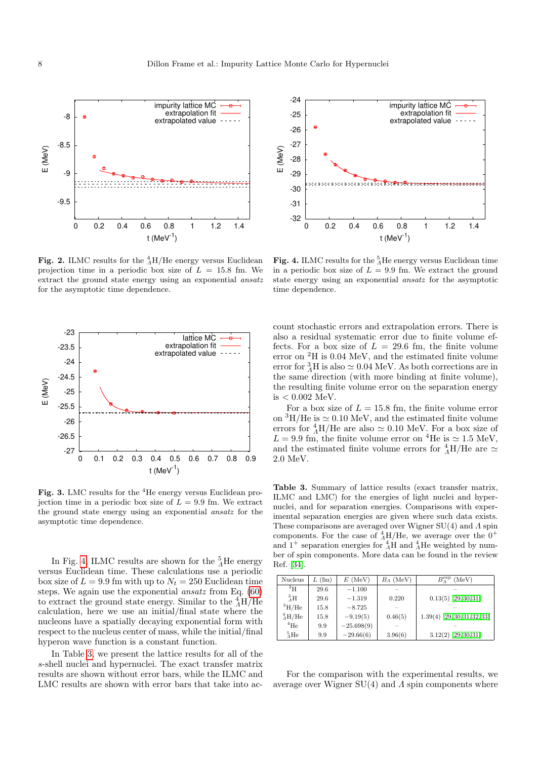

<span id="page-7-0"></span>Fig. 2. ILMC results for the  $^{4}_{\Lambda}$ H/He energy versus Euclidean projection time in a periodic box size of  $L = 15.8$  fm. We extract the ground state energy using an exponential ansatz for the asymptotic time dependence.



<span id="page-7-1"></span>Fig. 3. LMC results for the <sup>4</sup>He energy versus Euclidean projection time in a periodic box size of  $L = 9.9$  fm. We extract the ground state energy using an exponential ansatz for the asymptotic time dependence.

In Fig. [4,](#page-7-2) ILMC results are shown for the  $^{5}_{A}$ He energy versus Euclidean time. These calculations use a periodic box size of  $L = 9.9$  fm with up to  $N_t = 250$  Euclidean time steps. We again use the exponential ansatz from Eq. [\(60\)](#page-6-3) to extract the ground state energy. Similar to the  $^{4}_{A}\text{H/He}$ calculation, here we use an initial/final state where the nucleons have a spatially decaying exponential form with respect to the nucleus center of mass, while the initial/final hyperon wave function is a constant function.

In Table [3,](#page-7-3) we present the lattice results for all of the s-shell nuclei and hypernuclei. The exact transfer matrix results are shown without error bars, while the ILMC and LMC results are shown with error bars that take into ac-



<span id="page-7-2"></span>Fig. 4. ILMC results for the  $^{5}_{A}$ He energy versus Euclidean time in a periodic box size of  $L = 9.9$  fm. We extract the ground state energy using an exponential ansatz for the asymptotic time dependence.

count stochastic errors and extrapolation errors. There is also a residual systematic error due to finite volume effects. For a box size of  $L = 29.6$  fm, the finite volume error on  ${}^{2}H$  is 0.04 MeV, and the estimated finite volume error for  $^{3}_{A}$ H is also  $\simeq 0.04$  MeV. As both corrections are in the same direction (with more binding at finite volume), the resulting finite volume error on the separation energy  $is < 0.002$  MeV.

For a box size of  $L = 15.8$  fm, the finite volume error on  ${}^{3}H$ /He is  $\simeq 0.10$  MeV, and the estimated finite volume errors for  $^{4}_{A}H/He$  are also  $\simeq 0.10$  MeV. For a box size of  $L = 9.9$  fm, the finite volume error on <sup>4</sup>He is  $\simeq 1.5$  MeV, and the estimated finite volume errors for  $^{4}_{\Lambda}$ H/He are  $\simeq$ 2.0 MeV.

<span id="page-7-3"></span>Table 3. Summary of lattice results (exact transfer matrix, ILMC and LMC) for the energies of light nuclei and hypernuclei, and for separation energies. Comparisons with experimental separation energies are given where such data exists. These comparisons are averaged over Wigner  $SU(4)$  and  $\Lambda$  spin components. For the case of  $^{4}_{\Lambda}H/H$ e, we average over the  $0^{+}$ and  $1^+$  separation energies for  $^{4}_{A}H$  and  $^{4}_{A}He$  weighted by number of spin components. More data can be found in the review Ref. [\[34\]](#page-9-12).

| <b>Nucleus</b>        | $L$ (fm) | $E$ (MeV)    | $B_A$ (MeV) | $B_{\rm A}^{\rm exp}$<br>(MeV) |
|-----------------------|----------|--------------|-------------|--------------------------------|
| $^{2}$ H              | 29.6     | $-1.100$     |             |                                |
| ${}^{3}_{\Lambda}$ H  | 29.6     | $-1.319$     | 0.220       | $0.13(5)$ [29, 30, 31]         |
| $\rm{^{3}H/He}$       | 15.8     | $-8.725$     |             |                                |
| $^{4}_{\Lambda}$ H/He | 15.8     | $-9.19(5)$   | 0.46(5)     | $1.39(4)$ [29, 30, 31, 32, 33] |
| $^{4}$ He             | 9.9      | $-25.698(9)$ |             |                                |
| $^{5}_{\Lambda}$ He   | 9.9      | $-29.66(6)$  | 3.96(6)     | $3.12(2)$ [29, 30, 31]         |

For the comparison with the experimental results, we average over Wigner  $SU(4)$  and  $\Lambda$  spin components where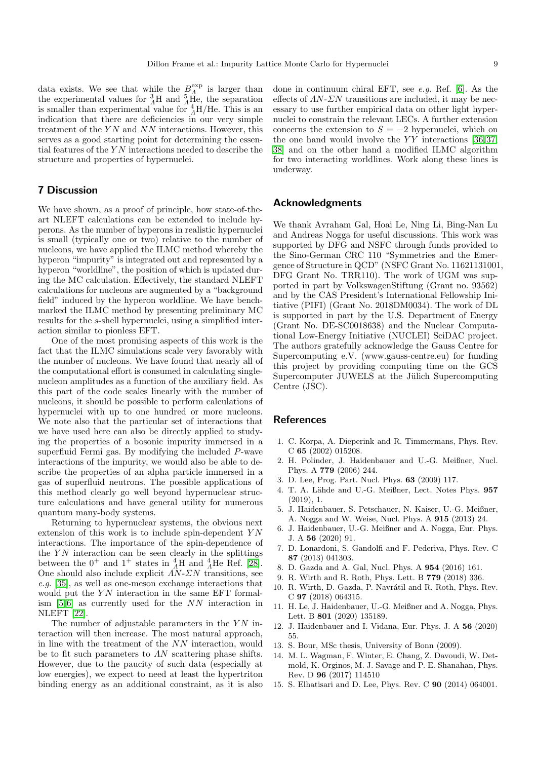data exists. We see that while the  $B_A^{\text{exp}}$  is larger than the experimental values for  $^{3}_{A}H$  and  $^{5}_{A}He$ , the separation is smaller than experimental value for  $^{4}_{\Lambda}$ H/He. This is an indication that there are deficiencies in our very simple treatment of the  $YN$  and  $NN$  interactions. However, this serves as a good starting point for determining the essential features of the  $YN$  interactions needed to describe the structure and properties of hypernuclei.

## <span id="page-8-15"></span>7 Discussion

We have shown, as a proof of principle, how state-of-theart NLEFT calculations can be extended to include hyperons. As the number of hyperons in realistic hypernuclei is small (typically one or two) relative to the number of nucleons, we have applied the ILMC method whereby the hyperon "impurity" is integrated out and represented by a hyperon "worldline", the position of which is updated during the MC calculation. Effectively, the standard NLEFT calculations for nucleons are augmented by a "background field" induced by the hyperon worldline. We have benchmarked the ILMC method by presenting preliminary MC results for the s-shell hypernuclei, using a simplified interaction similar to pionless EFT.

One of the most promising aspects of this work is the fact that the ILMC simulations scale very favorably with the number of nucleons. We have found that nearly all of the computational effort is consumed in calculating singlenucleon amplitudes as a function of the auxiliary field. As this part of the code scales linearly with the number of nucleons, it should be possible to perform calculations of hypernuclei with up to one hundred or more nucleons. We note also that the particular set of interactions that we have used here can also be directly applied to studying the properties of a bosonic impurity immersed in a superfluid Fermi gas. By modifying the included P-wave interactions of the impurity, we would also be able to describe the properties of an alpha particle immersed in a gas of superfluid neutrons. The possible applications of this method clearly go well beyond hypernuclear structure calculations and have general utility for numerous quantum many-body systems.

Returning to hypernuclear systems, the obvious next extension of this work is to include spin-dependent  $YN$ interactions. The importance of the spin-dependence of the  $YN$  interaction can be seen clearly in the splittings between the  $0^+$  and  $1^+$  states in  $^{4}_{A}H$  and  $^{4}_{A}He$  Ref. [\[28\]](#page-9-18). One should also include explicit  $\Lambda N$ - $\Sigma N$  transitions, see e.g. [\[35\]](#page-9-19), as well as one-meson exchange interactions that would put the  $YN$  interaction in the same EFT formalism [\[5,](#page-8-4) [6\]](#page-8-5) as currently used for the NN interaction in NLEFT [\[22\]](#page-9-7).

The number of adjustable parameters in the  $YN$  interaction will then increase. The most natural approach, in line with the treatment of the NN interaction, would be to fit such parameters to  $AN$  scattering phase shifts. However, due to the paucity of such data (especially at low energies), we expect to need at least the hypertriton binding energy as an additional constraint, as it is also done in continuum chiral EFT, see e.g. Ref. [\[6\]](#page-8-5). As the effects of  $AN$ - $\Sigma N$  transitions are included, it may be necessary to use further empirical data on other light hypernuclei to constrain the relevant LECs. A further extension concerns the extension to  $S = -2$  hypernuclei, which on the one hand would involve the  $YY$  interactions [\[36,](#page-9-20) [37,](#page-9-21) [38\]](#page-9-22) and on the other hand a modified ILMC algorithm for two interacting worldlines. Work along these lines is underway.

## Acknowledgments

We thank Avraham Gal, Hoai Le, Ning Li, Bing-Nan Lu and Andreas Nogga for useful discussions. This work was supported by DFG and NSFC through funds provided to the Sino-German CRC 110 "Symmetries and the Emergence of Structure in QCD" (NSFC Grant No. 11621131001, DFG Grant No. TRR110). The work of UGM was supported in part by VolkswagenStiftung (Grant no. 93562) and by the CAS President's International Fellowship Initiative (PIFI) (Grant No. 2018DM0034). The work of DL is supported in part by the U.S. Department of Energy (Grant No. DE-SC0018638) and the Nuclear Computational Low-Energy Initiative (NUCLEI) SciDAC project. The authors gratefully acknowledge the Gauss Centre for Supercomputing e.V. (www.gauss-centre.eu) for funding this project by providing computing time on the GCS Supercomputer JUWELS at the Jülich Supercomputing Centre (JSC).

## **References**

- <span id="page-8-0"></span>1. C. Korpa, A. Dieperink and R. Timmermans, Phys. Rev. C 65 (2002) 015208.
- <span id="page-8-1"></span>2. H. Polinder, J. Haidenbauer and U.-G. Meißner, Nucl. Phys. A 779 (2006) 244.
- <span id="page-8-2"></span>3. D. Lee, Prog. Part. Nucl. Phys. 63 (2009) 117.
- <span id="page-8-3"></span>4. T. A. Lähde and U.-G. Meißner, Lect. Notes Phys. 957 (2019), 1.
- <span id="page-8-4"></span>5. J. Haidenbauer, S. Petschauer, N. Kaiser, U.-G. Meißner, A. Nogga and W. Weise, Nucl. Phys. A 915 (2013) 24.
- <span id="page-8-5"></span>6. J. Haidenbauer, U.-G. Meißner and A. Nogga, Eur. Phys. J. A 56 (2020) 91.
- <span id="page-8-6"></span>7. D. Lonardoni, S. Gandolfi and F. Pederiva, Phys. Rev. C 87 (2013) 041303.
- <span id="page-8-7"></span>8. D. Gazda and A. Gal, Nucl. Phys. A 954 (2016) 161.
- <span id="page-8-8"></span>9. R. Wirth and R. Roth, Phys. Lett. B 779 (2018) 336.
- <span id="page-8-9"></span>10. R. Wirth, D. Gazda, P. Navrátil and R. Roth, Phys. Rev. C 97 (2018) 064315.
- <span id="page-8-10"></span>11. H. Le, J. Haidenbauer, U.-G. Meißner and A. Nogga, Phys. Lett. B 801 (2020) 135189.
- <span id="page-8-11"></span>12. J. Haidenbauer and I. Vidana, Eur. Phys. J. A 56 (2020) 55.
- <span id="page-8-12"></span>13. S. Bour, MSc thesis, University of Bonn (2009).
- <span id="page-8-14"></span>14. M. L. Wagman, F. Winter, E. Chang, Z. Davoudi, W. Detmold, K. Orginos, M. J. Savage and P. E. Shanahan, Phys. Rev. D 96 (2017) 114510
- <span id="page-8-13"></span>15. S. Elhatisari and D. Lee, Phys. Rev. C 90 (2014) 064001.